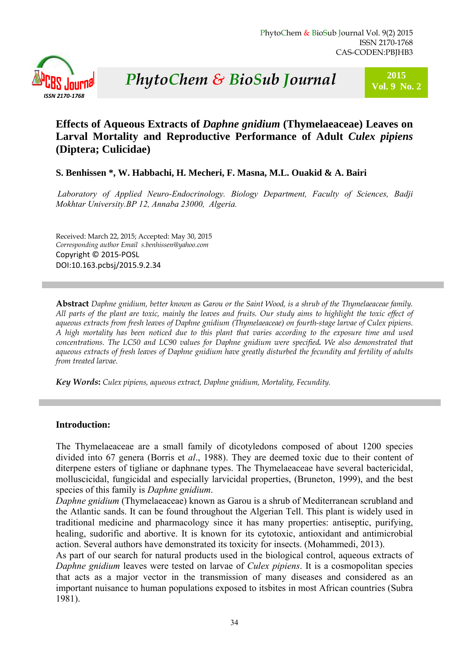

# **<sup>2015</sup>***P* **Vol. 9 No. 2** *hytoChem & BioSub Journal*

## **Effects of Aqueous Extracts of** *Daphne gnidium* **(Thymelaeaceae) Leaves on Larval Mortality and Reproductive Performance of Adult** *Culex pipiens* **(Diptera; Culicidae)**

## **S. Benhissen \*, W. Habbachi, H. Mecheri, F. Masna, M.L. Ouakid & A. Bairi**

*Laboratory of Applied Neuro-Endocrinology. Biology Department, Faculty of Sciences, Badji Mokhtar University.BP 12, Annaba 23000, Algeria.* 

Received: March 22, 2015; Accepted: May 30, 2015 *Corresponding author Email s.benhissen@yahoo.com*  Copyright © 2015‐POSL DOI:10.163.pcbsj/2015.9.2.34

**Abstract** *Daphne gnidium, better known as Garou or the Saint Wood, is a shrub of the Thymelaeaceae family. All parts of the plant are toxic, mainly the leaves and fruits. Our study aims to highlight the toxic effect of aqueous extracts from fresh leaves of Daphne gnidium (Thymelaeaceae) on fourth-stage larvae of Culex pipiens. A high mortality has been noticed due to this plant that varies according to the exposure time and used concentrations. The LC50 and LC90 values for Daphne gnidium were specified. We also demonstrated that aqueous extracts of fresh leaves of Daphne gnidium have greatly disturbed the fecundity and fertility of adults from treated larvae.*

*Key Words***:** *Culex pipiens, aqueous extract, Daphne gnidium, Mortality, Fecundity.*

## **Introduction:**

The Thymelaeaceae are a small family of dicotyledons composed of about 1200 species divided into 67 genera (Borris et *al*., 1988). They are deemed toxic due to their content of diterpene esters of tigliane or daphnane types. The Thymelaeaceae have several bactericidal, molluscicidal, fungicidal and especially larvicidal properties, (Bruneton, 1999), and the best species of this family is *Daphne gnidium*.

*Daphne gnidium* (Thymelaeaceae) known as Garou is a shrub of Mediterranean scrubland and the Atlantic sands. It can be found throughout the Algerian Tell. This plant is widely used in traditional medicine and pharmacology since it has many properties: antiseptic, purifying, healing, sudorific and abortive. It is known for its cytotoxic, antioxidant and antimicrobial action. Several authors have demonstrated its toxicity for insects. (Mohammedi, 2013).

As part of our search for natural products used in the biological control, aqueous extracts of *Daphne gnidium* leaves were tested on larvae of *Culex pipiens*. It is a cosmopolitan species that acts as a major vector in the transmission of many diseases and considered as an important nuisance to human populations exposed to itsbites in most African countries (Subra 1981).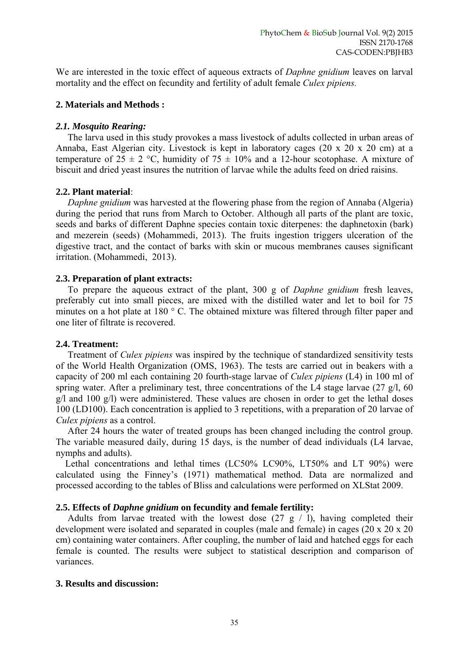We are interested in the toxic effect of aqueous extracts of *Daphne gnidium* leaves on larval mortality and the effect on fecundity and fertility of adult female *Culex pipiens.*

## **2. Materials and Methods :**

## *2.1. Mosquito Rearing:*

The larva used in this study provokes a mass livestock of adults collected in urban areas of Annaba, East Algerian city. Livestock is kept in laboratory cages (20 x 20 x 20 cm) at a temperature of  $25 \pm 2$  °C, humidity of  $75 \pm 10\%$  and a 12-hour scotophase. A mixture of biscuit and dried yeast insures the nutrition of larvae while the adults feed on dried raisins.

## **2.2. Plant material**:

 *Daphne gnidium* was harvested at the flowering phase from the region of Annaba (Algeria) during the period that runs from March to October. Although all parts of the plant are toxic, seeds and barks of different Daphne species contain toxic diterpenes: the daphnetoxin (bark) and mezerein (seeds) (Mohammedi, 2013). The fruits ingestion triggers ulceration of the digestive tract, and the contact of barks with skin or mucous membranes causes significant irritation. (Mohammedi, 2013).

## **2.3. Preparation of plant extracts:**

To prepare the aqueous extract of the plant, 300 g of *Daphne gnidium* fresh leaves, preferably cut into small pieces, are mixed with the distilled water and let to boil for 75 minutes on a hot plate at 180 ° C. The obtained mixture was filtered through filter paper and one liter of filtrate is recovered.

## **2.4. Treatment:**

Treatment of *Culex pipiens* was inspired by the technique of standardized sensitivity tests of the World Health Organization (OMS, 1963). The tests are carried out in beakers with a capacity of 200 ml each containing 20 fourth-stage larvae of *Culex pipiens* (L4) in 100 ml of spring water. After a preliminary test, three concentrations of the L4 stage larvae  $(27 \text{ g/l}, 60 \text{ s})$ g/l and 100 g/l) were administered. These values are chosen in order to get the lethal doses 100 (LD100). Each concentration is applied to 3 repetitions, with a preparation of 20 larvae of *Culex pipiens* as a control.

 After 24 hours the water of treated groups has been changed including the control group. The variable measured daily, during 15 days, is the number of dead individuals (L4 larvae, nymphs and adults).

 Lethal concentrations and lethal times (LC50% LC90%, LT50% and LT 90%) were calculated using the Finney's (1971) mathematical method. Data are normalized and processed according to the tables of Bliss and calculations were performed on XLStat 2009.

## **2.5. Effects of** *Daphne gnidium* **on fecundity and female fertility:**

Adults from larvae treated with the lowest dose  $(27 \text{ g} / 1)$ , having completed their development were isolated and separated in couples (male and female) in cages (20 x 20 x 20 cm) containing water containers. After coupling, the number of laid and hatched eggs for each female is counted. The results were subject to statistical description and comparison of variances.

## **3. Results and discussion:**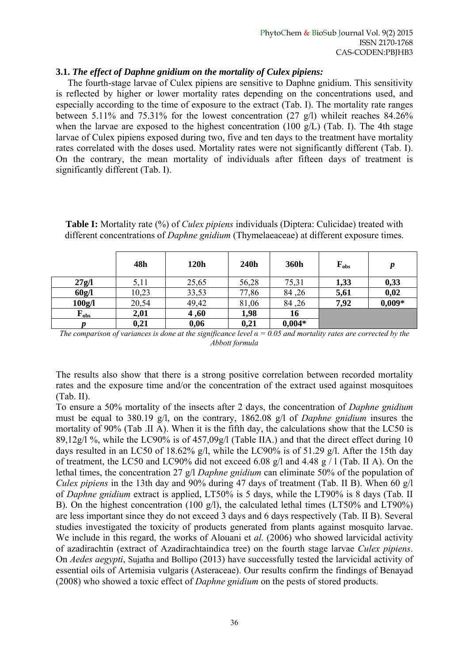## **3.1.** *The effect of Daphne gnidium on the mortality of Culex pipiens:*

 The fourth-stage larvae of Culex pipiens are sensitive to Daphne gnidium. This sensitivity is reflected by higher or lower mortality rates depending on the concentrations used, and especially according to the time of exposure to the extract (Tab. I). The mortality rate ranges between 5.11% and 75.31% for the lowest concentration (27 g/l) whileit reaches 84.26% when the larvae are exposed to the highest concentration (100 g/L) (Tab. I). The 4th stage larvae of Culex pipiens exposed during two, five and ten days to the treatment have mortality rates correlated with the doses used. Mortality rates were not significantly different (Tab. I). On the contrary, the mean mortality of individuals after fifteen days of treatment is significantly different (Tab. I).

|                    | 48h   | 120h  | 240h  | 360h     | $F_{obs}$ | $\boldsymbol{p}$ |
|--------------------|-------|-------|-------|----------|-----------|------------------|
| 27g/l              | 5,11  | 25,65 | 56,28 | 75,31    | 1,33      | 0,33             |
| 60g/l              | 10,23 | 33,53 | 77,86 | 84, 26   | 5,61      | 0,02             |
| 100g/l             | 20,54 | 49,42 | 81,06 | 84,26    | 7,92      | $0,009*$         |
| $\mathbf{F_{obs}}$ | 2,01  | 4,60  | 1,98  | 16       |           |                  |
| p                  | 0,21  | 0,06  | 0,21  | $0,004*$ |           |                  |

**Table I:** Mortality rate (%) of *Culex pipiens* individuals (Diptera: Culicidae) treated with different concentrations of *Daphne gnidium* (Thymelaeaceae) at different exposure times.

*The comparison of variances is done at the significance level*  $\alpha$  *= 0.05 and mortality rates are corrected by the Abbott formula* 

The results also show that there is a strong positive correlation between recorded mortality rates and the exposure time and/or the concentration of the extract used against mosquitoes (Tab. II).

To ensure a 50% mortality of the insects after 2 days, the concentration of *Daphne gnidium* must be equal to 380.19 g/l, on the contrary, 1862.08 g/l of *Daphne gnidium* insures the mortality of 90% (Tab .II A). When it is the fifth day, the calculations show that the LC50 is 89,12g/l %, while the LC90% is of 457,09g/l (Table IIA.) and that the direct effect during 10 days resulted in an LC50 of 18.62% g/l, while the LC90% is of 51.29 g/l. After the 15th day of treatment, the LC50 and LC90% did not exceed 6.08 g/l and 4.48 g / l (Tab. II A). On the lethal times, the concentration 27 g/l *Daphne gnidium* can eliminate 50% of the population of *Culex pipiens* in the 13th day and 90% during 47 days of treatment (Tab. II B). When 60 g/l of *Daphne gnidium* extract is applied, LT50% is 5 days, while the LT90% is 8 days (Tab. II B). On the highest concentration (100 g/l), the calculated lethal times (LT50% and LT90%) are less important since they do not exceed 3 days and 6 days respectively (Tab. II B). Several studies investigated the toxicity of products generated from plants against mosquito larvae. We include in this regard, the works of Alouani et *al.* (2006) who showed larvicidal activity of azadirachtin (extract of Azadirachtaindica tree) on the fourth stage larvae *Culex pipiens*. On *Aedes aegypti*, Sujatha and Bollipo (2013) have successfully tested the larvicidal activity of essential oils of Artemisia vulgaris (Asteraceae). Our results confirm the findings of Benayad (2008) who showed a toxic effect of *Daphne gnidium* on the pests of stored products.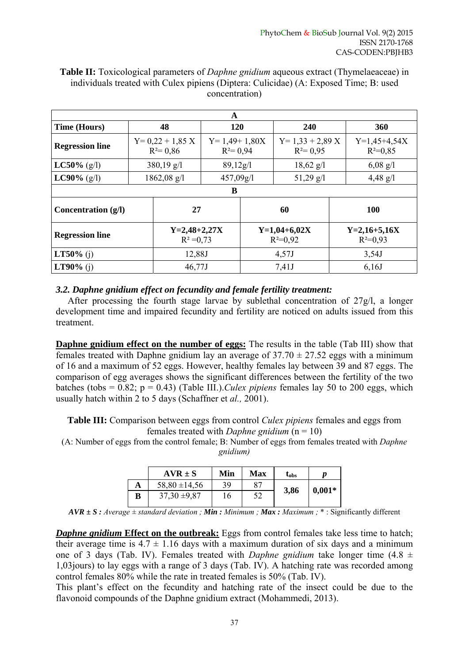| A                      |                       |                                 |                                |                              |                                 |       |                              |  |
|------------------------|-----------------------|---------------------------------|--------------------------------|------------------------------|---------------------------------|-------|------------------------------|--|
| <b>Time (Hours)</b>    | 48                    |                                 | 120                            |                              | 240                             |       | <b>360</b>                   |  |
| <b>Regression line</b> |                       | $Y=0,22+1,85$ X<br>$R^2 = 0.86$ | $Y=1,49+1,80X$<br>$R^2 = 0.94$ |                              | $Y=1,33+2,89$ X<br>$R^2 = 0.95$ |       | $Y=1,45+4,54X$<br>$R^2=0.85$ |  |
| <b>LC50%</b> (g/l)     | $380,19 \text{ g/l}$  |                                 | 89,12g/1                       |                              | $18,62 \text{ g}/1$             |       | $6,08 \text{ g/l}$           |  |
| <b>LC90%</b> (g/l)     | $1862,08 \text{ g/l}$ |                                 | 457,09g/1                      |                              | $51,29 \text{ g}/1$             |       | $4,48 \text{ g}/l$           |  |
| B                      |                       |                                 |                                |                              |                                 |       |                              |  |
| Concentration $(g/l)$  |                       | 27                              |                                | 60                           |                                 |       | 100                          |  |
| <b>Regression line</b> |                       | $Y=2,48+2,27X$<br>$R^2 = 0.73$  |                                | $Y=1,04+6,02X$<br>$R^2=0.92$ |                                 |       | $Y=2,16+5,16X$<br>$R^2=0.93$ |  |
| <b>LT50%</b> (j)       |                       | 12,88J                          |                                | 4,57J                        |                                 |       | 3,54J                        |  |
| <b>LT90%</b> (i)       |                       | 46,77J                          |                                | 7,41J                        |                                 | 6,16J |                              |  |

## **Table II:** Toxicological parameters of *Daphne gnidium* aqueous extract (Thymelaeaceae) in individuals treated with Culex pipiens (Diptera: Culicidae) (A: Exposed Time; B: used concentration)

## *3.2. Daphne gnidium effect on fecundity and female fertility treatment:*

 After processing the fourth stage larvae by sublethal concentration of 27g/l, a longer development time and impaired fecundity and fertility are noticed on adults issued from this treatment.

**Daphne gnidium effect on the number of eggs:** The results in the table (Tab III) show that females treated with Daphne gnidium lay an average of  $37.70 \pm 27.52$  eggs with a minimum of 16 and a maximum of 52 eggs. However, healthy females lay between 39 and 87 eggs. The comparison of egg averages shows the significant differences between the fertility of the two batches (tobs = 0.82; p = 0.43) (Table III.).*Culex pipiens* females lay 50 to 200 eggs, which usually hatch within 2 to 5 days (Schaffner et *al.,* 2001).

**Table III:** Comparison between eggs from control *Culex pipiens* females and eggs from females treated with *Daphne gnidium* (n = 10)

(A: Number of eggs from the control female; B: Number of eggs from females treated with *Daphne gnidium)* 

|   | $AVR \pm S$       | Min | <b>Max</b> | $\textbf{t}_{\rm obs}$ |          |
|---|-------------------|-----|------------|------------------------|----------|
| A | $58,80 \pm 14,56$ | 39  | 87         |                        | $0,001*$ |
| В | $37,30 \pm 9,87$  | 16  | 52         | 3,86                   |          |

 $AVR \pm S$ : Average  $\pm$  standard deviation ; *Min*: *Minimum ; Max: Maximum ; \* : Significantly different* 

*Daphne gnidium* Effect on the outbreak: Eggs from control females take less time to hatch; their average time is  $4.7 \pm 1.16$  days with a maximum duration of six days and a minimum one of 3 days (Tab. IV). Females treated with *Daphne gnidium* take longer time (4.8 ± 1,03jours) to lay eggs with a range of 3 days (Tab. IV). A hatching rate was recorded among control females 80% while the rate in treated females is 50% (Tab. IV).

This plant's effect on the fecundity and hatching rate of the insect could be due to the flavonoid compounds of the Daphne gnidium extract (Mohammedi, 2013).